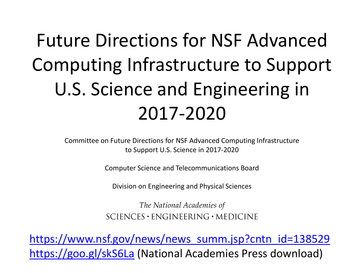# Future Directions for NSF Advanced Computing Infrastructure to Support U.S. Science and Engineering in 2017-2020

Committee on Future Directions for NSF Advanced Computing Infrastructure to Support U.S. Science in 2017-2020

Computer Science and Telecommunications Board

Division on Engineering and Physical Sciences

The National Academies of  $SCIENCES \cdot ENGINEERING \cdot MEDICINE$ 

[https://www.nsf.gov/news/news\\_summ.jsp?cntn\\_id=138529](https://www.nsf.gov/news/news_summ.jsp?cntn_id=138529) <https://goo.gl/skS6La> (National Academies Press download)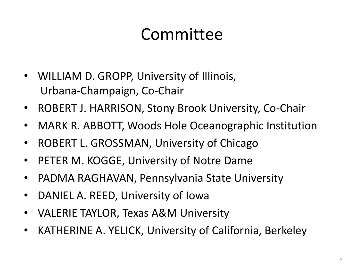#### Committee

- WILLIAM D. GROPP, University of Illinois, Urbana-Champaign, Co-Chair
- ROBERT J. HARRISON, Stony Brook University, Co-Chair
- MARK R. ABBOTT, Woods Hole Oceanographic Institution
- ROBERT L. GROSSMAN, University of Chicago
- PETER M. KOGGE, University of Notre Dame
- PADMA RAGHAVAN, Pennsylvania State University
- DANIEL A. REED, University of Iowa
- VALERIE TAYLOR, Texas A&M University
- KATHERINE A. YELICK, University of California, Berkeley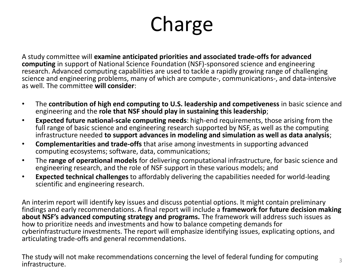# Charge

A study committee will **examine anticipated priorities and associated trade-offs for advanced computing** in support of National Science Foundation (NSF)-sponsored science and engineering research. Advanced computing capabilities are used to tackle a rapidly growing range of challenging science and engineering problems, many of which are compute-, communications-, and data-intensive as well. The committee **will consider**:

- The **contribution of high end computing to U.S. leadership and competiveness** in basic science and engineering and the **role that NSF should play in sustaining this leadership**;
- **Expected future national-scale computing needs**: high-end requirements, those arising from the full range of basic science and engineering research supported by NSF, as well as the computing infrastructure needed **to support advances in modeling and simulation as well as data analysis**;
- **Complementarities and trade-offs** that arise among investments in supporting advanced computing ecosystems; software, data, communications;
- The **range of operational models** for delivering computational infrastructure, for basic science and engineering research, and the role of NSF support in these various models; and
- **Expected technical challenges** to affordably delivering the capabilities needed for world-leading scientific and engineering research.

An interim report will identify key issues and discuss potential options. It might contain preliminary findings and early recommendations. A final report will include a **framework for future decision making about NSF's advanced computing strategy and programs.** The framework will address such issues as how to prioritize needs and investments and how to balance competing demands for cyberinfrastructure investments. The report will emphasize identifying issues, explicating options, and articulating trade-offs and general recommendations.

The study will not make recommendations concerning the level of federal funding for computing infrastructure.  $\frac{3}{3}$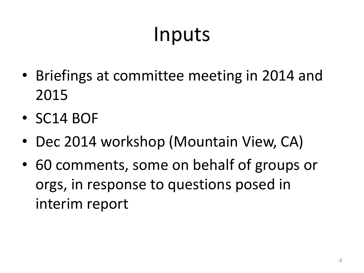# Inputs

- Briefings at committee meeting in 2014 and 2015
- SC14 BOF
- Dec 2014 workshop (Mountain View, CA)
- 60 comments, some on behalf of groups or orgs, in response to questions posed in interim report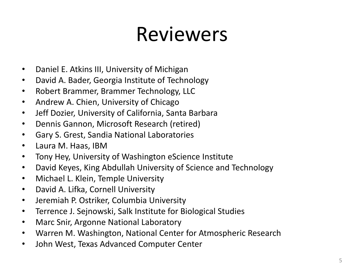### Reviewers

- Daniel E. Atkins III, University of Michigan
- David A. Bader, Georgia Institute of Technology
- Robert Brammer, Brammer Technology, LLC
- Andrew A. Chien, University of Chicago
- Jeff Dozier, University of California, Santa Barbara
- Dennis Gannon, Microsoft Research (retired)
- Gary S. Grest, Sandia National Laboratories
- Laura M. Haas, IBM
- Tony Hey, University of Washington eScience Institute
- David Keyes, King Abdullah University of Science and Technology
- Michael L. Klein, Temple University
- David A. Lifka, Cornell University
- Jeremiah P. Ostriker, Columbia University
- Terrence J. Sejnowski, Salk Institute for Biological Studies
- Marc Snir, Argonne National Laboratory
- Warren M. Washington, National Center for Atmospheric Research
- John West, Texas Advanced Computer Center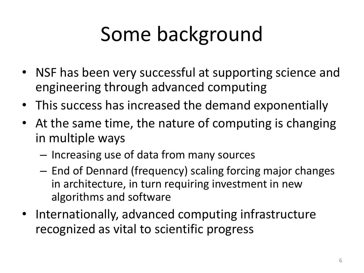# Some background

- NSF has been very successful at supporting science and engineering through advanced computing
- This success has increased the demand exponentially
- At the same time, the nature of computing is changing in multiple ways
	- Increasing use of data from many sources
	- End of Dennard (frequency) scaling forcing major changes in architecture, in turn requiring investment in new algorithms and software
- Internationally, advanced computing infrastructure recognized as vital to scientific progress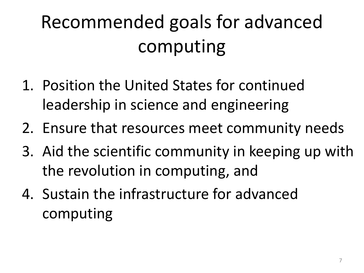# Recommended goals for advanced computing

- 1. Position the United States for continued leadership in science and engineering
- 2. Ensure that resources meet community needs
- 3. Aid the scientific community in keeping up with the revolution in computing, and
- 4. Sustain the infrastructure for advanced computing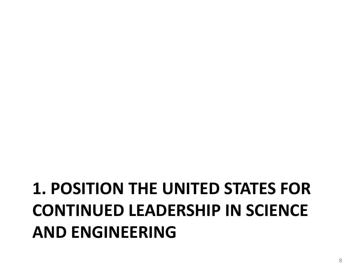#### **1. POSITION THE UNITED STATES FOR CONTINUED LEADERSHIP IN SCIENCE AND ENGINEERING**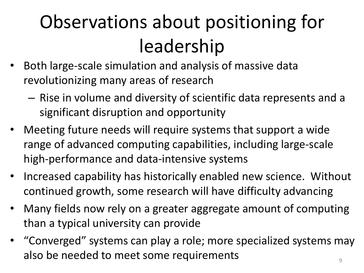# Observations about positioning for leadership

- Both large-scale simulation and analysis of massive data revolutionizing many areas of research
	- Rise in volume and diversity of scientific data represents and a significant disruption and opportunity
- Meeting future needs will require systems that support a wide range of advanced computing capabilities, including large-scale high-performance and data-intensive systems
- Increased capability has historically enabled new science. Without continued growth, some research will have difficulty advancing
- Many fields now rely on a greater aggregate amount of computing than a typical university can provide
- "Converged" systems can play a role; more specialized systems may also be needed to meet some requirements  $\frac{1}{9}$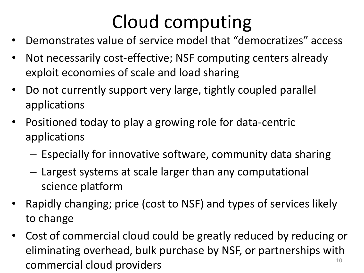# Cloud computing

- Demonstrates value of service model that "democratizes" access
- Not necessarily cost-effective; NSF computing centers already exploit economies of scale and load sharing
- Do not currently support very large, tightly coupled parallel applications
- Positioned today to play a growing role for data-centric applications
	- Especially for innovative software, community data sharing
	- Largest systems at scale larger than any computational science platform
- Rapidly changing; price (cost to NSF) and types of services likely to change
- Cost of commercial cloud could be greatly reduced by reducing or eliminating overhead, bulk purchase by NSF, or partnerships with  $\sum_{10}$  commercial cloud providers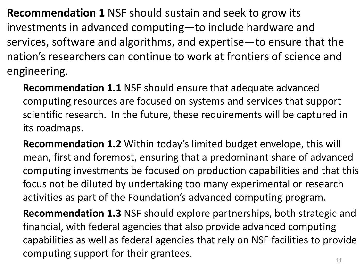**Recommendation 1** NSF should sustain and seek to grow its investments in advanced computing—to include hardware and services, software and algorithms, and expertise—to ensure that the nation's researchers can continue to work at frontiers of science and engineering.

**Recommendation 1.1** NSF should ensure that adequate advanced computing resources are focused on systems and services that support scientific research. In the future, these requirements will be captured in its roadmaps.

**Recommendation 1.2** Within today's limited budget envelope, this will mean, first and foremost, ensuring that a predominant share of advanced computing investments be focused on production capabilities and that this focus not be diluted by undertaking too many experimental or research activities as part of the Foundation's advanced computing program.

**Recommendation 1.3** NSF should explore partnerships, both strategic and financial, with federal agencies that also provide advanced computing capabilities as well as federal agencies that rely on NSF facilities to provide computing support for their grantees.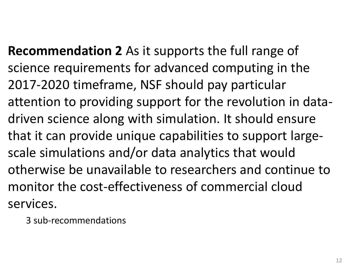**Recommendation 2** As it supports the full range of science requirements for advanced computing in the 2017-2020 timeframe, NSF should pay particular attention to providing support for the revolution in datadriven science along with simulation. It should ensure that it can provide unique capabilities to support largescale simulations and/or data analytics that would otherwise be unavailable to researchers and continue to monitor the cost-effectiveness of commercial cloud services.

3 sub-recommendations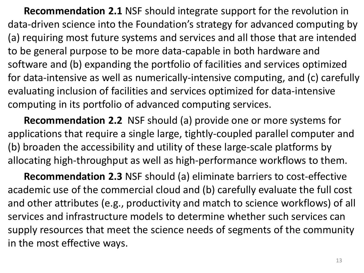**Recommendation 2.1** NSF should integrate support for the revolution in data-driven science into the Foundation's strategy for advanced computing by (a) requiring most future systems and services and all those that are intended to be general purpose to be more data-capable in both hardware and software and (b) expanding the portfolio of facilities and services optimized for data-intensive as well as numerically-intensive computing, and (c) carefully evaluating inclusion of facilities and services optimized for data-intensive computing in its portfolio of advanced computing services.

**Recommendation 2.2** NSF should (a) provide one or more systems for applications that require a single large, tightly-coupled parallel computer and (b) broaden the accessibility and utility of these large-scale platforms by allocating high-throughput as well as high-performance workflows to them.

**Recommendation 2.3** NSF should (a) eliminate barriers to cost-effective academic use of the commercial cloud and (b) carefully evaluate the full cost and other attributes (e.g., productivity and match to science workflows) of all services and infrastructure models to determine whether such services can supply resources that meet the science needs of segments of the community in the most effective ways.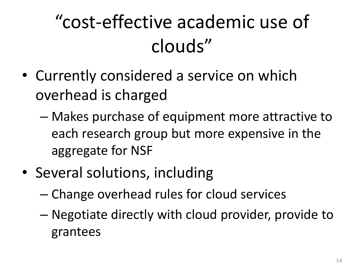# "cost-effective academic use of clouds"

- Currently considered a service on which overhead is charged
	- Makes purchase of equipment more attractive to each research group but more expensive in the aggregate for NSF
- Several solutions, including
	- Change overhead rules for cloud services
	- Negotiate directly with cloud provider, provide to grantees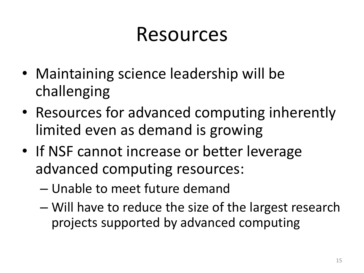### Resources

- Maintaining science leadership will be challenging
- Resources for advanced computing inherently limited even as demand is growing
- If NSF cannot increase or better leverage advanced computing resources:
	- Unable to meet future demand
	- Will have to reduce the size of the largest research projects supported by advanced computing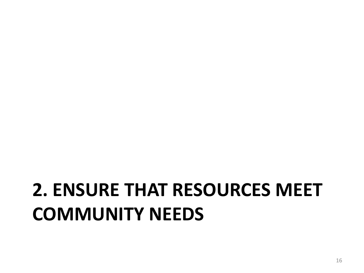### **2. ENSURE THAT RESOURCES MEET COMMUNITY NEEDS**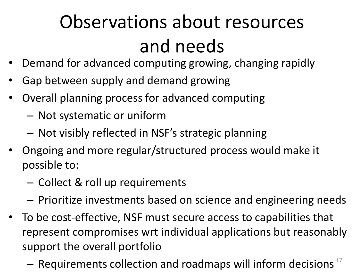# Observations about resources and needs

- Demand for advanced computing growing, changing rapidly
- Gap between supply and demand growing
- Overall planning process for advanced computing
	- Not systematic or uniform
	- Not visibly reflected in NSF's strategic planning
- Ongoing and more regular/structured process would make it possible to:
	- Collect & roll up requirements
	- Prioritize investments based on science and engineering needs
- To be cost-effective, NSF must secure access to capabilities that represent compromises wrt individual applications but reasonably support the overall portfolio
	- $-$  Requirements collection and roadmaps will inform decisions  $17$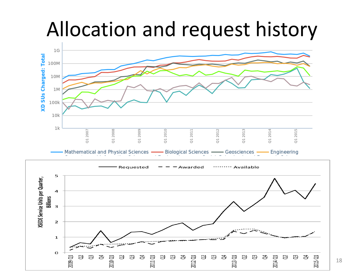### Allocation and request history



ਣ

පි පි

2012 Q1

333

2013 Q1

333

2014 Q1

8 ಇ

き

2015 Q1

 $\mathbf O$ 

2009 Q1

ď

đ

පි

2010 Q1

S පි 2011 Q1

ਣ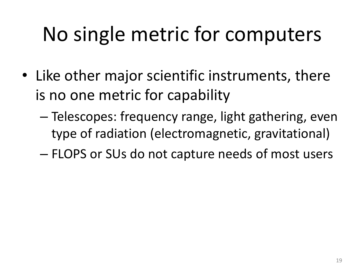# No single metric for computers

- Like other major scientific instruments, there is no one metric for capability
	- Telescopes: frequency range, light gathering, even type of radiation (electromagnetic, gravitational)
	- FLOPS or SUs do not capture needs of most users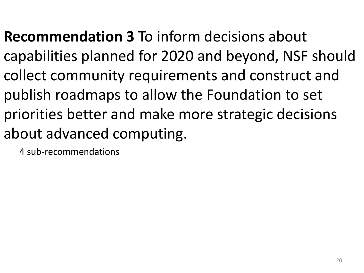**Recommendation 3** To inform decisions about capabilities planned for 2020 and beyond, NSF should collect community requirements and construct and publish roadmaps to allow the Foundation to set priorities better and make more strategic decisions about advanced computing.

4 sub-recommendations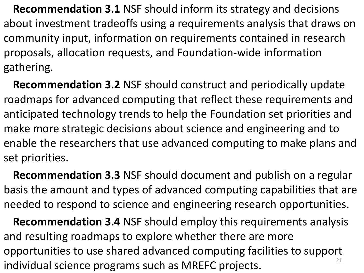**Recommendation 3.1** NSF should inform its strategy and decisions about investment tradeoffs using a requirements analysis that draws on community input, information on requirements contained in research proposals, allocation requests, and Foundation-wide information gathering.

**Recommendation 3.2** NSF should construct and periodically update roadmaps for advanced computing that reflect these requirements and anticipated technology trends to help the Foundation set priorities and make more strategic decisions about science and engineering and to enable the researchers that use advanced computing to make plans and set priorities.

**Recommendation 3.3** NSF should document and publish on a regular basis the amount and types of advanced computing capabilities that are needed to respond to science and engineering research opportunities.

**Recommendation 3.4** NSF should employ this requirements analysis and resulting roadmaps to explore whether there are more opportunities to use shared advanced computing facilities to support individual science programs such as MREFC projects.  $21$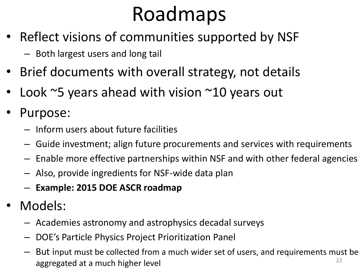# Roadmaps

- Reflect visions of communities supported by NSF
	- Both largest users and long tail
- Brief documents with overall strategy, not details
- Look  $\sim$ 5 years ahead with vision  $\sim$ 10 years out
- Purpose:
	- Inform users about future facilities
	- Guide investment; align future procurements and services with requirements
	- Enable more effective partnerships within NSF and with other federal agencies
	- Also, provide ingredients for NSF-wide data plan
	- **Example: 2015 DOE ASCR roadmap**
- Models:
	- Academies astronomy and astrophysics decadal surveys
	- DOE's Particle Physics Project Prioritization Panel
	- But input must be collected from a much wider set of users, and requirements must be aggregated at a much higher level  $22$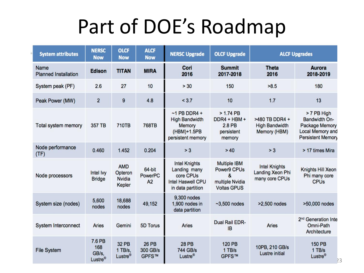### Part of DOE's Roadmap

| <b>System attributes</b>            | <b>NERSC</b><br><b>Now</b>                    | <b>OLCF</b><br><b>Now</b>                        | <b>ALCF</b><br><b>Now</b>         | <b>NERSC Upgrade</b>                                                                               | <b>OLCF Upgrade</b>                                                              | <b>ALCF Upgrades</b>                                       |                                                                                                                     |
|-------------------------------------|-----------------------------------------------|--------------------------------------------------|-----------------------------------|----------------------------------------------------------------------------------------------------|----------------------------------------------------------------------------------|------------------------------------------------------------|---------------------------------------------------------------------------------------------------------------------|
| Name<br><b>Planned Installation</b> | <b>Edison</b>                                 | <b>TITAN</b>                                     | <b>MIRA</b>                       | Cori<br>2016                                                                                       | <b>Summit</b><br>2017-2018                                                       | <b>Theta</b><br>2016                                       | <b>Aurora</b><br>2018-2019                                                                                          |
| System peak (PF)                    | 2.6                                           | 27                                               | 10                                | > 30                                                                                               | 150                                                                              | >8.5                                                       | 180                                                                                                                 |
| Peak Power (MW)                     | $\overline{2}$                                | 9                                                | 4.8                               | < 3.7                                                                                              | 10                                                                               | 1.7                                                        | 13                                                                                                                  |
| <b>Total system memory</b>          | 357 TB                                        | <b>710TB</b>                                     | <b>768TB</b>                      | $-1$ PB DDR4 +<br><b>High Bandwidth</b><br>Memory<br>(HBM)+1.5PB<br>persistent memory              | $> 1.74$ PB<br>DDR4 + HBM +<br>2.8 PB<br>persistent<br>memory                    | >480 TB DDR4 +<br><b>High Bandwidth</b><br>Memory (HBM)    | > 7 PB High<br><b>Bandwidth On-</b><br><b>Package Memory</b><br><b>Local Memory and</b><br><b>Persistent Memory</b> |
| Node performance<br>(TF)            | 0.460                                         | 1.452                                            | 0.204                             | > 3                                                                                                | >40                                                                              | > 3                                                        | > 17 times Mira                                                                                                     |
| Node processors                     | Intel Ivy<br><b>Bridge</b>                    | <b>AMD</b><br>Opteron<br><b>Nvidia</b><br>Kepler | 64-bit<br>PowerPC<br>A2           | <b>Intel Knights</b><br>Landing many<br>core CPUs<br><b>Intel Haswell CPU</b><br>in data partition | <b>Multiple IBM</b><br>Power9 CPUs<br>&<br>multiple Nvidia<br><b>Voltas GPUS</b> | <b>Intel Knights</b><br>Landing Xeon Phi<br>many core CPUs | Knights Hill Xeon<br>Phi many core<br><b>CPU<sub>s</sub></b>                                                        |
| System size (nodes)                 | 5,600<br>nodes                                | 18,688<br>nodes                                  | 49,152                            | 9,300 nodes<br>1,900 nodes in<br>data partition                                                    | $-3,500$ nodes                                                                   | >2,500 nodes                                               | >50,000 nodes                                                                                                       |
| System Interconnect                 | <b>Aries</b>                                  | Gemini                                           | 5D Torus                          | Aries                                                                                              | <b>Dual Rail EDR-</b><br><b>IB</b>                                               | <b>Aries</b>                                               | 2 <sup>nd</sup> Generation Inte<br>Omni-Path<br>Architecture                                                        |
| <b>File System</b>                  | 7.6 PB<br>168<br>GB/s.<br>Lustre <sup>®</sup> | <b>32 PB</b><br>1 TB/s.<br>Lustre <sup>®</sup>   | <b>26 PB</b><br>300 GB/s<br>GPFS™ | <b>28 PB</b><br>744 GB/s<br>Lustre <sup>®</sup>                                                    | <b>120 PB</b><br>1 TB/s<br>GPFS™                                                 | 10PB, 210 GB/s<br><b>Lustre initial</b>                    | <b>150 PB</b><br>1 TB/s<br>Lustre <sup>®</sup><br>23                                                                |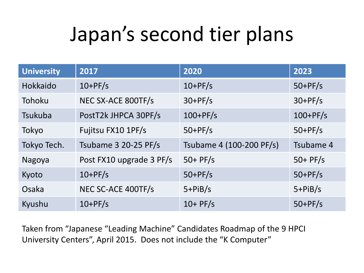# Japan's second tier plans

| <b>University</b> | 2017                     | 2020                     | 2023       |
|-------------------|--------------------------|--------------------------|------------|
| Hokkaido          | $10+PF/s$                | $10+PF/s$                | $50+PF/s$  |
| Tohoku            | NEC SX-ACE 800TF/s       | $30+PF/s$                | $30+PF/s$  |
| Tsukuba           | PostT2k JHPCA 30PF/s     | $100+PF/s$               | $100+PF/s$ |
| Tokyo             | Fujitsu FX10 1PF/s       | $50+PF/s$                | $50+PF/s$  |
| Tokyo Tech.       | Tsubame 3 20-25 PF/s     | Tsubame 4 (100-200 PF/s) | Tsubame 4  |
| Nagoya            | Post FX10 upgrade 3 PF/s | $50+$ PF/s               | $50+$ PF/s |
| Kyoto             | $10+PF/s$                | $50+PF/s$                | $50+PF/s$  |
| Osaka             | NEC SC-ACE 400TF/s       | $5+PIB/s$                | $5+PIB/s$  |
| Kyushu            | $10+PF/s$                | $10+$ PF/s               | $50+PF/s$  |

Taken from "Japanese "Leading Machine" Candidates Roadmap of the 9 HPCI University Centers", April 2015. Does not include the "K Computer"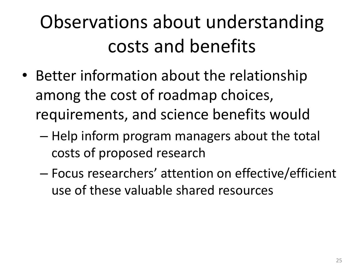# Observations about understanding costs and benefits

- Better information about the relationship among the cost of roadmap choices, requirements, and science benefits would
	- Help inform program managers about the total costs of proposed research
	- Focus researchers' attention on effective/efficient use of these valuable shared resources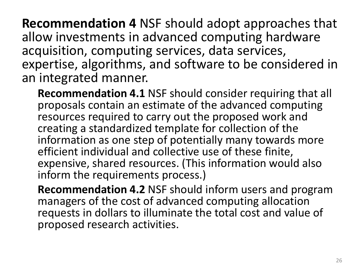**Recommendation 4** NSF should adopt approaches that allow investments in advanced computing hardware acquisition, computing services, data services, expertise, algorithms, and software to be considered in an integrated manner.

**Recommendation 4.1** NSF should consider requiring that all proposals contain an estimate of the advanced computing resources required to carry out the proposed work and creating a standardized template for collection of the information as one step of potentially many towards more efficient individual and collective use of these finite, expensive, shared resources. (This information would also inform the requirements process.)

**Recommendation 4.2** NSF should inform users and program managers of the cost of advanced computing allocation requests in dollars to illuminate the total cost and value of proposed research activities.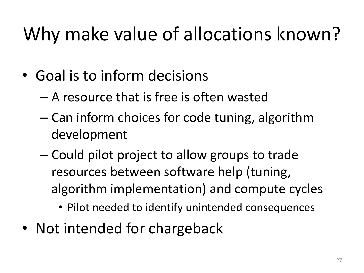### Why make value of allocations known?

- Goal is to inform decisions
	- A resource that is free is often wasted
	- Can inform choices for code tuning, algorithm development
	- Could pilot project to allow groups to trade resources between software help (tuning, algorithm implementation) and compute cycles
		- Pilot needed to identify unintended consequences
- Not intended for chargeback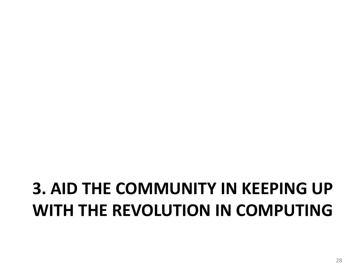#### **3. AID THE COMMUNITY IN KEEPING UP WITH THE REVOLUTION IN COMPUTING**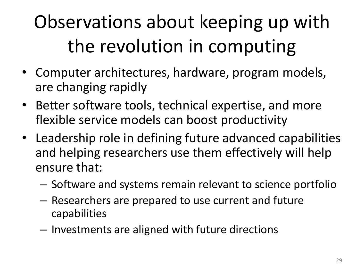# Observations about keeping up with the revolution in computing

- Computer architectures, hardware, program models, are changing rapidly
- Better software tools, technical expertise, and more flexible service models can boost productivity
- Leadership role in defining future advanced capabilities and helping researchers use them effectively will help ensure that:
	- Software and systems remain relevant to science portfolio
	- Researchers are prepared to use current and future capabilities
	- Investments are aligned with future directions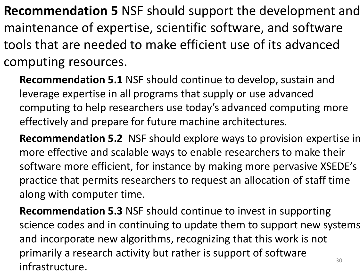**Recommendation 5** NSF should support the development and maintenance of expertise, scientific software, and software tools that are needed to make efficient use of its advanced computing resources.

**Recommendation 5.1** NSF should continue to develop, sustain and leverage expertise in all programs that supply or use advanced computing to help researchers use today's advanced computing more effectively and prepare for future machine architectures.

**Recommendation 5.2** NSF should explore ways to provision expertise in more effective and scalable ways to enable researchers to make their software more efficient, for instance by making more pervasive XSEDE's practice that permits researchers to request an allocation of staff time along with computer time.

**Recommendation 5.3** NSF should continue to invest in supporting science codes and in continuing to update them to support new systems and incorporate new algorithms, recognizing that this work is not primarily a research activity but rather is support of software infrastructure. 30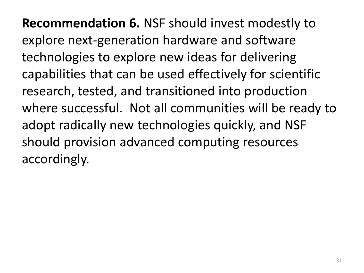**Recommendation 6.** NSF should invest modestly to explore next-generation hardware and software technologies to explore new ideas for delivering capabilities that can be used effectively for scientific research, tested, and transitioned into production where successful. Not all communities will be ready to adopt radically new technologies quickly, and NSF should provision advanced computing resources accordingly.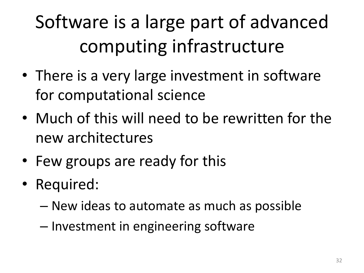# Software is a large part of advanced computing infrastructure

- There is a very large investment in software for computational science
- Much of this will need to be rewritten for the new architectures
- Few groups are ready for this
- Required:
	- New ideas to automate as much as possible
	- Investment in engineering software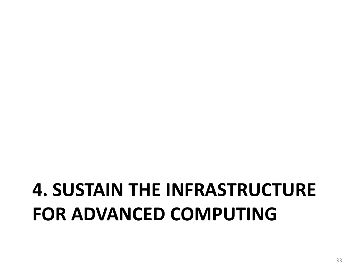### **4. SUSTAIN THE INFRASTRUCTURE FOR ADVANCED COMPUTING**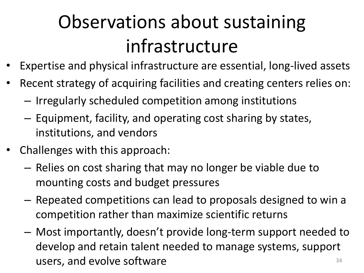# Observations about sustaining infrastructure

- Expertise and physical infrastructure are essential, long-lived assets
- Recent strategy of acquiring facilities and creating centers relies on:
	- Irregularly scheduled competition among institutions
	- Equipment, facility, and operating cost sharing by states, institutions, and vendors
- Challenges with this approach:
	- Relies on cost sharing that may no longer be viable due to mounting costs and budget pressures
	- Repeated competitions can lead to proposals designed to win a competition rather than maximize scientific returns
	- Most importantly, doesn't provide long-term support needed to develop and retain talent needed to manage systems, support users, and evolve software  $34$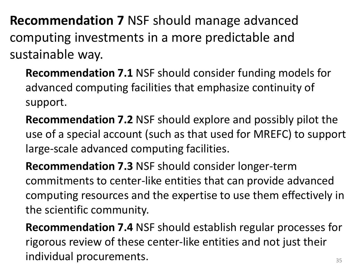**Recommendation 7** NSF should manage advanced computing investments in a more predictable and sustainable way.

**Recommendation 7.1** NSF should consider funding models for advanced computing facilities that emphasize continuity of support.

**Recommendation 7.2** NSF should explore and possibly pilot the use of a special account (such as that used for MREFC) to support large-scale advanced computing facilities.

**Recommendation 7.3** NSF should consider longer-term commitments to center-like entities that can provide advanced computing resources and the expertise to use them effectively in the scientific community.

**Recommendation 7.4** NSF should establish regular processes for rigorous review of these center-like entities and not just their individual procurements. The state of the state of  $\frac{35}{35}$